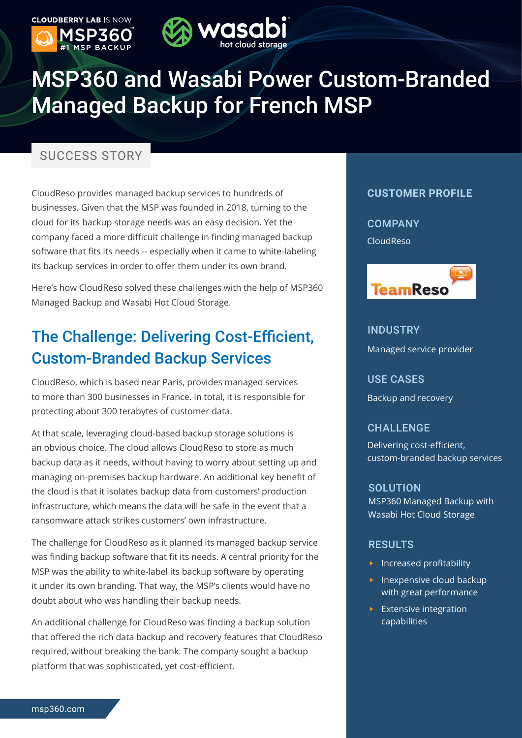

# MSP360 and Wasabi Power Custom-Branded Managed Backup for French MSP

### SUCCESS STORY

CloudReso provides managed backup services to hundreds of businesses. Given that the MSP was founded in 2018, turning to the cloud for its backup storage needs was an easy decision. Yet the company faced a more difficult challenge in finding managed backup software that fits its needs -- especially when it came to white-labeling its backup services in order to offer them under its own brand.

Here's how CloudReso solved these challenges with the help of MSP360 Managed Backup and Wasabi Hot Cloud Storage.

# The Challenge: Delivering Cost-Efficient, Custom-Branded Backup Services

CloudReso, which is based near Paris, provides managed services to more than 300 businesses in France. In total, it is responsible for protecting about 300 terabytes of customer data.

At that scale, leveraging cloud-based backup storage solutions is an obvious choice. The cloud allows CloudReso to store as much backup data as it needs, without having to worry about setting up and managing on-premises backup hardware. An additional key benefit of the cloud is that it isolates backup data from customers' production infrastructure, which means the data will be safe in the event that a ransomware attack strikes customers' own infrastructure.

The challenge for CloudReso as it planned its managed backup service was finding backup software that fit its needs. A central priority for the MSP was the ability to white-label its backup software by operating it under its own branding. That way, the MSP's clients would have no doubt about who was handling their backup needs.

An additional challenge for CloudReso was finding a backup solution that offered the rich data backup and recovery features that CloudReso required, without breaking the bank. The company sought a backup platform that was sophisticated, yet cost-efficient.

#### **CUSTOMER PROFILE**

**COMPANY** CloudReso



### INDUSTRY Managed service provider

USE CASES Backup and recovery

#### CHALLENGE

Delivering cost-efficient, custom-branded backup services

#### SOLUTION

MSP360 Managed Backup with Wasabi Hot Cloud Storage

#### RESULTS

- $\blacktriangleright$  Increased profitability
- $\blacktriangleright$  Inexpensive cloud backup with great performance
- $\blacktriangleright$  Extensive integration capabilities